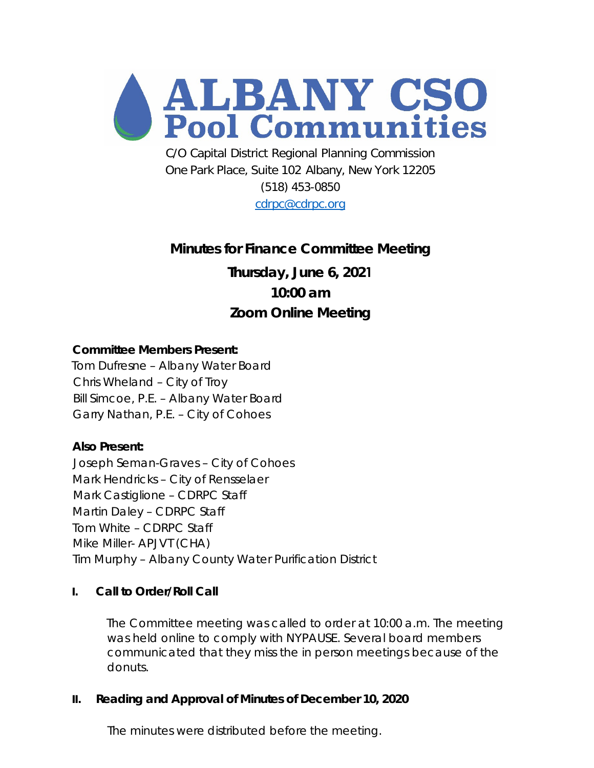

C/O Capital District Regional Planning Commission One Park Place, Suite 102 Albany, New York 12205 (518) 453-0850 [cdrpc@cdrpc.org](mailto:cdrpc@cdrpc.org)

# **Minutes for Finance Committee Meeting**

**Thursday, June 6, 2021 10:00 am Zoom Online Meeting**

# **Committee Members Present:**

Tom Dufresne – Albany Water Board Chris Wheland – City of Troy Bill Simcoe, P.E. – Albany Water Board Garry Nathan, P.E. – City of Cohoes

# **Also Present:**

Joseph Seman-Graves – City of Cohoes Mark Hendricks – City of Rensselaer Mark Castiglione – CDRPC Staff Martin Daley – CDRPC Staff Tom White – CDRPC Staff Mike Miller- APJVT (CHA) Tim Murphy – Albany County Water Purification District

#### **I. Call to Order/Roll Call**

The Committee meeting was called to order at 10:00 a.m. The meeting was held online to comply with NYPAUSE. Several board members communicated that they miss the in person meetings because of the donuts.

#### **II. Reading and Approval of Minutes of December 10, 2020**

The minutes were distributed before the meeting.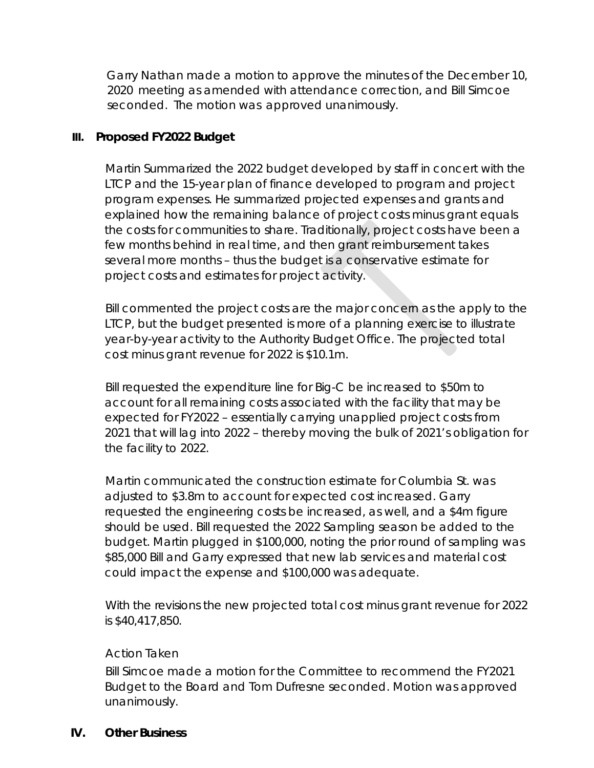Garry Nathan made a motion to approve the minutes of the December 10, 2020 meeting as amended with attendance correction, and Bill Simcoe seconded. The motion was approved unanimously.

# **III. Proposed FY2022 Budget**

Martin Summarized the 2022 budget developed by staff in concert with the LTCP and the 15-year plan of finance developed to program and project program expenses. He summarized projected expenses and grants and explained how the remaining balance of project costs minus grant equals the costs for communities to share. Traditionally, project costs have been a few months behind in real time, and then grant reimbursement takes several more months – thus the budget is a conservative estimate for project costs and estimates for project activity.

Bill commented the project costs are the major concern as the apply to the LTCP, but the budget presented is more of a planning exercise to illustrate year-by-year activity to the Authority Budget Office. The projected total cost minus grant revenue for 2022 is \$10.1m.

Bill requested the expenditure line for Big-C be increased to \$50m to account for all remaining costs associated with the facility that may be expected for FY2022 – essentially carrying unapplied project costs from 2021 that will lag into 2022 – thereby moving the bulk of 2021's obligation for the facility to 2022.

Martin communicated the construction estimate for Columbia St. was adjusted to \$3.8m to account for expected cost increased. Garry requested the engineering costs be increased, as well, and a \$4m figure should be used. Bill requested the 2022 Sampling season be added to the budget. Martin plugged in \$100,000, noting the prior round of sampling was \$85,000 Bill and Garry expressed that new lab services and material cost could impact the expense and \$100,000 was adequate.

With the revisions the new projected total cost minus grant revenue for 2022 is \$40,417,850.

# *Action Taken*

Bill Simcoe made a motion for the Committee to recommend the FY2021 Budget to the Board and Tom Dufresne seconded. Motion was approved unanimously.

# **IV. Other Business**